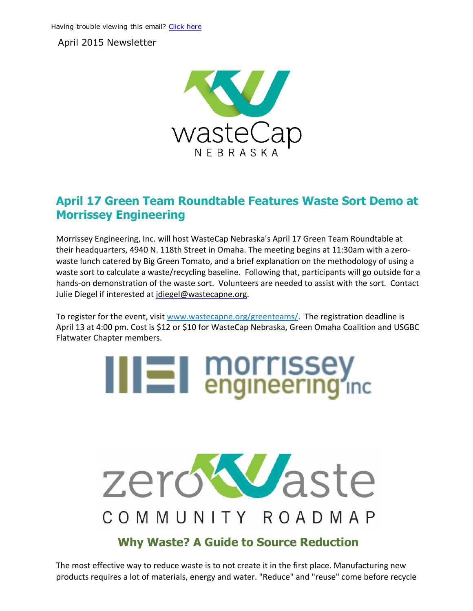April 2015 Newsletter



### April 17 Green Team Roundtable Features Waste Sort Demo at Morrissey Engineering

Morrissey Engineering, Inc. will host WasteCap Nebraska's April 17 Green Team Roundtable at their headquarters, 4940 N. 118th Street in Omaha. The meeting begins at 11:30am with a zero‐ waste lunch catered by Big Green Tomato, and a brief explanation on the methodology of using a waste sort to calculate a waste/recycling baseline. Following that, participants will go outside for a hands-on demonstration of the waste sort. Volunteers are needed to assist with the sort. Contact Julie Diegel if interested at [jdiegel@wastecapne.org.](mailto:jdiegel@wastecapne.org)

To register for the event, visit [www.wastecapne.org/greenteams/](https://events.r20.constantcontact.com/register/eventReg?oeidk=a07eatg02kl9d0a540b&oseq=&c=&ch=). The registration deadline is April 13 at 4:00 pm. Cost is \$12 or \$10 for WasteCap Nebraska, Green Omaha Coalition and USGBC Flatwater Chapter members.





### Why Waste? A Guide to Source Reduction

The most effective way to reduce waste is to not create it in the first place. Manufacturing new products requires a lot of materials, energy and water. "Reduce" and "reuse" come before recycle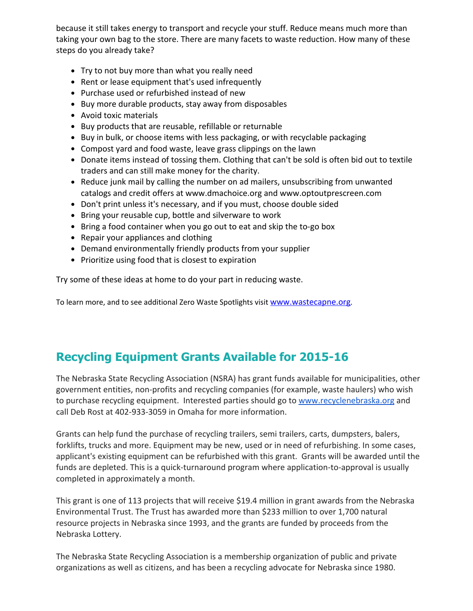because it still takes energy to transport and recycle your stuff. Reduce means much more than taking your own bag to the store. There are many facets to waste reduction. How many of these steps do you already take?

- Try to not buy more than what you really need
- Rent or lease equipment that's used infrequently
- Purchase used or refurbished instead of new
- Buy more durable products, stay away from disposables
- Avoid toxic materials
- Buy products that are reusable, refillable or returnable
- Buy in bulk, or choose items with less packaging, or with recyclable packaging
- Compost yard and food waste, leave grass clippings on the lawn
- Donate items instead of tossing them. Clothing that can't be sold is often bid out to textile traders and can still make money for the charity.
- Reduce junk mail by calling the number on ad mailers, unsubscribing from unwanted catalogs and credit offers at www.dmachoice.org and www.optoutprescreen.com
- Don't print unless it's necessary, and if you must, choose double sided
- Bring your reusable cup, bottle and silverware to work
- Bring a food container when you go out to eat and skip the to-go box
- Repair your appliances and clothing
- Demand environmentally friendly products from your supplier
- Prioritize using food that is closest to expiration

Try some of these ideas at home to do your part in reducing waste.

To learn more, and to see additional Zero Waste Spotlights visit [www.wastecapne.org](http://www.wastecapne.org/).

# **Recycling Equipment Grants Available for 2015-16**

The Nebraska State Recycling Association (NSRA) has grant funds available for municipalities, other government entities, non‐profits and recycling companies (for example, waste haulers) who wish to purchase recycling equipment. Interested parties should go to [www.recyclenebraska.org](http://www.recyclenebraska.org/) and call Deb Rost at 402‐933‐3059 in Omaha for more information.

Grants can help fund the purchase of recycling trailers, semi trailers, carts, dumpsters, balers, forklifts, trucks and more. Equipment may be new, used or in need of refurbishing. In some cases, applicant's existing equipment can be refurbished with this grant. Grants will be awarded until the funds are depleted. This is a quick-turnaround program where application-to-approval is usually completed in approximately a month.

This grant is one of 113 projects that will receive \$19.4 million in grant awards from the Nebraska Environmental Trust. The Trust has awarded more than \$233 million to over 1,700 natural resource projects in Nebraska since 1993, and the grants are funded by proceeds from the Nebraska Lottery.

The Nebraska State Recycling Association is a membership organization of public and private organizations as well as citizens, and has been a recycling advocate for Nebraska since 1980.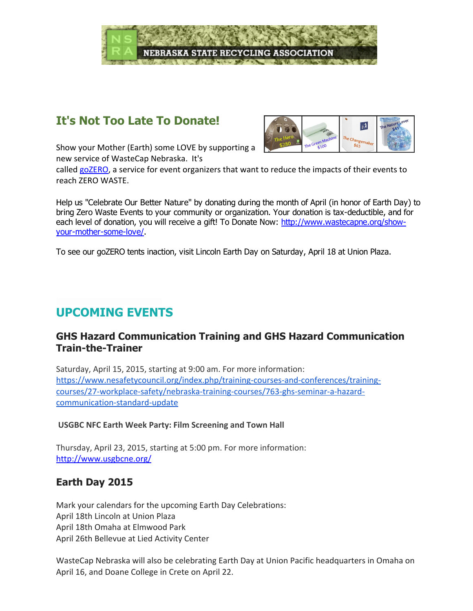

## It's Not Too Late To Donate!



Show your Mother (Earth) some LOVE by supporting a new service of WasteCap Nebraska. It's

called [goZERO,](http://www.wastecapne.org/zero-waste/events/) a service for event organizers that want to reduce the impacts of their events to reach ZERO WASTE.

Help us "Celebrate Our Better Nature" by donating during the month of April (in honor of Earth Day) to bring Zero Waste Events to your community or organization. Your donation is tax-deductible, and for each level of donation, you will receive a gift! To Donate Now: [http://www.wastecapne.org/show](http://www.wastecapne.org/show-your-mother-some-love/)your-mother-some-love/.

To see our goZERO tents inaction, visit Lincoln Earth Day on Saturday, April 18 at Union Plaza.

# UPCOMING EVENTS

#### GHS Hazard Communication Training and GHS Hazard Communication **Train-the-Trainer**

Saturday, April 15, 2015, starting at 9:00 am. For more information: [https://www.nesafetycouncil.org/index.php/training‐courses‐and‐conferences/training‐](https://www.nesafetycouncil.org/index.php/training-courses-and-conferences/training-courses/27-workplace-safety/nebraska-training-courses/763-ghs-seminar-a-hazard-communication-standard-update) courses/27‐workplace‐safety/nebraska‐training‐courses/763‐ghs‐seminar‐a‐hazard‐ communication‐standard‐update

#### USGBC NFC Earth Week Party: Film Screening and Town Hall

Thursday, April 23, 2015, starting at 5:00 pm. For more information: <http://www.usgbcne.org/>

### Earth Day 2015

Mark your calendars for the upcoming Earth Day Celebrations: April 18th Lincoln at Union Plaza April 18th Omaha at Elmwood Park April 26th Bellevue at Lied Activity Center

WasteCap Nebraska will also be celebrating Earth Day at Union Pacific headquarters in Omaha on April 16, and Doane College in Crete on April 22.